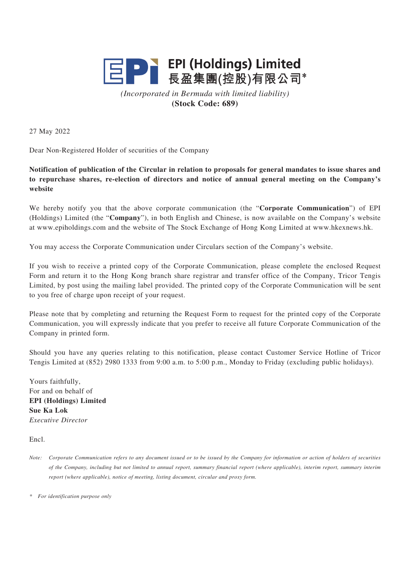

*(Incorporated in Bermuda with limited liability)* **(Stock Code: 689)**

27 May 2022

Dear Non-Registered Holder of securities of the Company

**Notification of publication of the Circular in relation to proposals for general mandates to issue shares and to repurchase shares, re-election of directors and notice of annual general meeting on the Company's website**

We hereby notify you that the above corporate communication (the "**Corporate Communication**") of EPI (Holdings) Limited (the "**Company**"), in both English and Chinese, is now available on the Company's website at www.epiholdings.com and the website of The Stock Exchange of Hong Kong Limited at www.hkexnews.hk.

You may access the Corporate Communication under Circulars section of the Company's website.

If you wish to receive a printed copy of the Corporate Communication, please complete the enclosed Request Form and return it to the Hong Kong branch share registrar and transfer office of the Company, Tricor Tengis Limited, by post using the mailing label provided. The printed copy of the Corporate Communication will be sent to you free of charge upon receipt of your request.

Please note that by completing and returning the Request Form to request for the printed copy of the Corporate Communication, you will expressly indicate that you prefer to receive all future Corporate Communication of the Company in printed form.

Should you have any queries relating to this notification, please contact Customer Service Hotline of Tricor Tengis Limited at (852) 2980 1333 from 9:00 a.m. to 5:00 p.m., Monday to Friday (excluding public holidays).

Yours faithfully, For and on behalf of **EPI (Holdings) Limited Sue Ka Lok** *Executive Director*

Encl.

*\* For identification purpose only*

*Note: Corporate Communication refers to any document issued or to be issued by the Company for information or action of holders of securities of the Company, including but not limited to annual report, summary financial report (where applicable), interim report, summary interim report (where applicable), notice of meeting, listing document, circular and proxy form.*